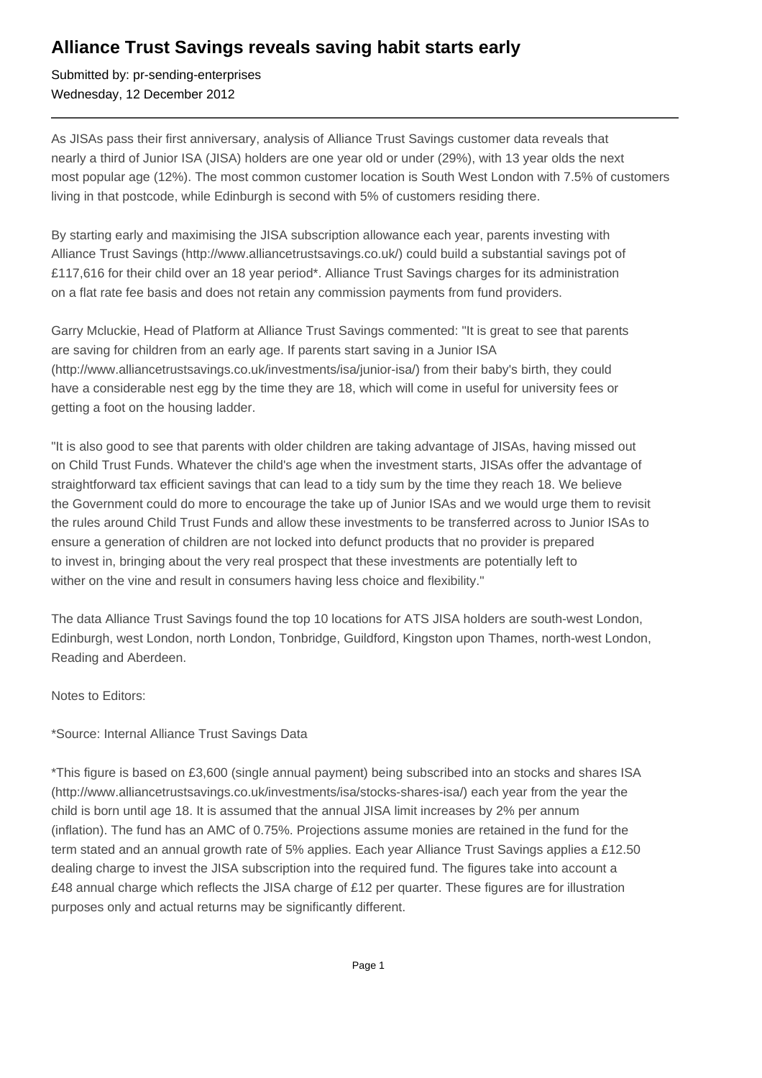## **Alliance Trust Savings reveals saving habit starts early**

Submitted by: pr-sending-enterprises Wednesday, 12 December 2012

As JISAs pass their first anniversary, analysis of Alliance Trust Savings customer data reveals that nearly a third of Junior ISA (JISA) holders are one year old or under (29%), with 13 year olds the next most popular age (12%). The most common customer location is South West London with 7.5% of customers living in that postcode, while Edinburgh is second with 5% of customers residing there.

By starting early and maximising the JISA subscription allowance each year, parents investing with Alliance Trust Savings (http://www.alliancetrustsavings.co.uk/) could build a substantial savings pot of £117,616 for their child over an 18 year period\*. Alliance Trust Savings charges for its administration on a flat rate fee basis and does not retain any commission payments from fund providers.

Garry Mcluckie, Head of Platform at Alliance Trust Savings commented: "It is great to see that parents are saving for children from an early age. If parents start saving in a Junior ISA (http://www.alliancetrustsavings.co.uk/investments/isa/junior-isa/) from their baby's birth, they could have a considerable nest egg by the time they are 18, which will come in useful for university fees or getting a foot on the housing ladder.

"It is also good to see that parents with older children are taking advantage of JISAs, having missed out on Child Trust Funds. Whatever the child's age when the investment starts, JISAs offer the advantage of straightforward tax efficient savings that can lead to a tidy sum by the time they reach 18. We believe the Government could do more to encourage the take up of Junior ISAs and we would urge them to revisit the rules around Child Trust Funds and allow these investments to be transferred across to Junior ISAs to ensure a generation of children are not locked into defunct products that no provider is prepared to invest in, bringing about the very real prospect that these investments are potentially left to wither on the vine and result in consumers having less choice and flexibility."

The data Alliance Trust Savings found the top 10 locations for ATS JISA holders are south-west London, Edinburgh, west London, north London, Tonbridge, Guildford, Kingston upon Thames, north-west London, Reading and Aberdeen.

Notes to Editors:

\*Source: Internal Alliance Trust Savings Data

\*This figure is based on £3,600 (single annual payment) being subscribed into an stocks and shares ISA (http://www.alliancetrustsavings.co.uk/investments/isa/stocks-shares-isa/) each year from the year the child is born until age 18. It is assumed that the annual JISA limit increases by 2% per annum (inflation). The fund has an AMC of 0.75%. Projections assume monies are retained in the fund for the term stated and an annual growth rate of 5% applies. Each year Alliance Trust Savings applies a £12.50 dealing charge to invest the JISA subscription into the required fund. The figures take into account a £48 annual charge which reflects the JISA charge of £12 per quarter. These figures are for illustration purposes only and actual returns may be significantly different.